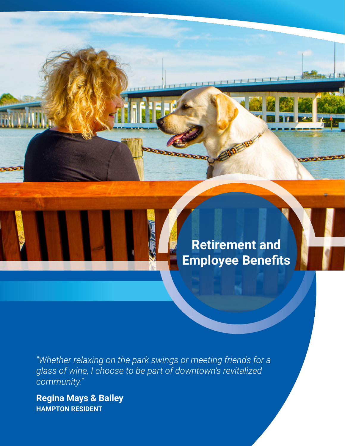

*"Whether relaxing on the park swings or meeting friends for a glass of wine, I choose to be part of downtown's revitalized community."* 

**Regina Mays & Bailey HAMPTON RESIDENT**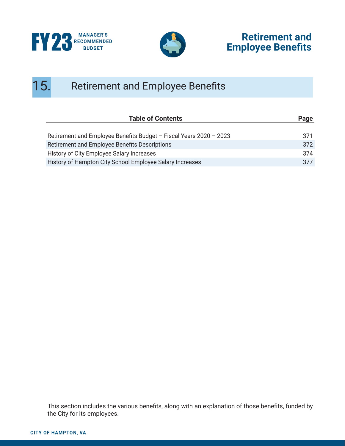



## **Retirement and Employee Benefits**

# 15. Retirement and Employee Benefits

| <b>Table of Contents</b>                                           | Page |  |
|--------------------------------------------------------------------|------|--|
|                                                                    |      |  |
| Retirement and Employee Benefits Budget - Fiscal Years 2020 - 2023 | 371  |  |
| Retirement and Employee Benefits Descriptions                      | 372  |  |
| History of City Employee Salary Increases                          | 374  |  |
| History of Hampton City School Employee Salary Increases           | 377  |  |

This section includes the various benefits, along with an explanation of those benefits, funded by the City for its employees.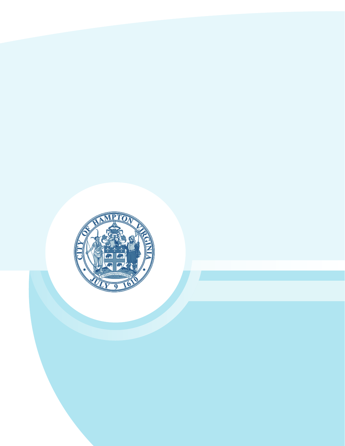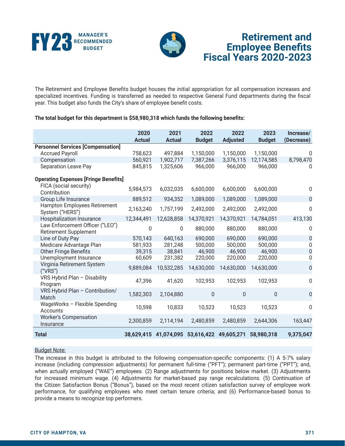



#### **Retirement and Employee Benefits Fiscal Years 2020-2023**

The Retirement and Employee Benefits budget houses the initial appropriation for all compensation increases and specialized incentives. Funding is transferred as needed to respective General Fund departments during the fiscal year. This budget also funds the City's share of employee benefit costs.

#### **The total budget for this department is \$58,980,318 which funds the following benefits:**

|                                                                       | 2020<br><b>Actual</b> | 2021<br><b>Actual</b> | 2022<br><b>Budget</b>                       | 2022<br><b>Adjusted</b> | 2023<br><b>Budget</b> | Increase/<br>(Decrease) |
|-----------------------------------------------------------------------|-----------------------|-----------------------|---------------------------------------------|-------------------------|-----------------------|-------------------------|
| <b>Personnel Services [Compensation]</b>                              |                       |                       |                                             |                         |                       |                         |
| <b>Accrued Payroll</b>                                                | 758,623               | 497,884               | 1,150,000                                   | 1,150,000               | 1,150,000             | 0                       |
| Compensation                                                          | 560,921               | 1,902,717             | 7,387,266                                   | 3,376,115               | 12,174,585            | 8,798,470               |
| <b>Separation Leave Pay</b>                                           | 845,815               | 1,325,606             | 966,000                                     | 966,000                 | 966,000               | 0                       |
| <b>Operating Expenses [Fringe Benefits]</b><br>FICA (social security) |                       |                       |                                             |                         |                       |                         |
| Contribution                                                          | 5,984,573             | 6,032,035             | 6,600,000                                   | 6,600,000               | 6,600,000             | $\pmb{0}$               |
| Group Life Insurance                                                  | 889,512               | 934,352               | 1,089,000                                   | 1,089,000               | 1,089,000             | $\overline{0}$          |
| Hampton Employees Retirement<br>System ("HERS")                       | 2,163,240             | 1,757,199             | 2,492,000                                   | 2,492,000               | 2,492,000             | 0                       |
| <b>Hospitalization Insurance</b>                                      | 12,344,491            | 12,628,858            | 14,370,921                                  | 14,370,921              | 14,784,051            | 413,130                 |
| Law Enforcement Officer ("LEO")<br><b>Retirement Supplement</b>       | 0                     | $\mathbf 0$           | 880,000                                     | 880,000                 | 880,000               | 0                       |
| Line of Duty Pay                                                      | 570,143               | 640,163               | 690,000                                     | 690,000                 | 690,000               | $\overline{0}$          |
| Medicare Advantage Plan                                               | 581,933               | 281,248               | 500,000                                     | 500,000                 | 500,000               | 0                       |
| <b>Other Fringe Benefits</b>                                          | 39,315                | 38,841                | 46,900                                      | 46,900                  | 46,900                | $\mathbf 0$             |
| Unemployment Insurance                                                | 60,609                | 231,382               | 220,000                                     | 220,000                 | 220,000               | 0                       |
| Virginia Retirement System<br>(''VRS")                                | 9,889,084             | 10,532,285            | 14,630,000                                  | 14,630,000              | 14,630,000            | $\mathbf 0$             |
| VRS Hybrid Plan - Disability<br>Program                               | 47,396                | 41,620                | 102,953                                     | 102,953                 | 102,953               | $\boldsymbol{0}$        |
| VRS Hybrid Plan - Contribution/<br>Match                              | 1,582,303             | 2,104,880             | $\mathbf{0}$                                | $\overline{0}$          | $\overline{0}$        | $\overline{0}$          |
| WageWorks - Flexible Spending<br>Accounts                             | 10,598                | 10,833                | 10,523                                      | 10,523                  | 10,523                | 0                       |
| <b>Worker's Compensation</b><br>Insurance                             | 2,300,859             | 2,114,194             | 2,480,859                                   | 2,480,859               | 2,644,306             | 163,447                 |
| <b>Total</b>                                                          |                       |                       | 38,629,415 41,074,095 53,616,422 49,605,271 |                         | 58,980,318            | 9,375,047               |

#### Budget Note:

The increase in this budget is attributed to the following compensation-specific components: (1) A 5-7% salary increase (including compression adjustments) for permanent full-time ("PFT"); permanent part-time ("PPT"); and, when actually employed ("WAE") employees. (2) Range adjustments for positions below market. (3) Adjustments for increased minimum wage. (4) Adjustments for market-based pay range recalculations. (5) Continuation of the Citizen Satisfaction Bonus ("Bonus"), based on the most recent citizen satisfaction survey of employee work performance, for qualifying employees who meet certain tenure criteria; and (6) Performance-based bonus to provide a means to recognize top performers.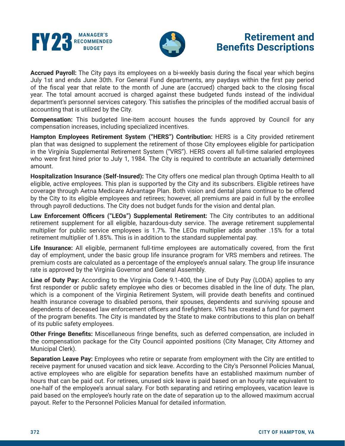



### **Retirement and Benefits Descriptions**

**Accrued Payroll:** The City pays its employees on a bi-weekly basis during the fiscal year which begins July 1st and ends June 30th. For General Fund departments, any paydays within the first pay period of the fiscal year that relate to the month of June are (accrued) charged back to the closing fiscal year. The total amount accrued is charged against these budgeted funds instead of the individual department's personnel services category. This satisfies the principles of the modified accrual basis of accounting that is utilized by the City.

**Compensation:** This budgeted line-item account houses the funds approved by Council for any compensation increases, including specialized incentives.

**Hampton Employees Retirement System ("HERS") Contribution:** HERS is a City provided retirement plan that was designed to supplement the retirement of those City employees eligible for participation in the Virginia Supplemental Retirement System ("VRS"). HERS covers all full-time salaried employees who were first hired prior to July 1, 1984. The City is required to contribute an actuarially determined amount.

**Hospitalization Insurance (Self-Insured):** The City offers one medical plan through Optima Health to all eligible, active employees. This plan is supported by the City and its subscribers. Eligible retirees have coverage through Aetna Medicare Advantage Plan. Both vision and dental plans continue to be offered by the City to its eligible employees and retirees; however, all premiums are paid in full by the enrollee through payroll deductions. The City does not budget funds for the vision and dental plan.

**Law Enforcement Officers ("LEOs") Supplemental Retirement:** The City contributes to an additional retirement supplement for all eligible, hazardous-duty service. The average retirement supplemental multiplier for public service employees is 1.7%. The LEOs multiplier adds another .15% for a total retirement multiplier of 1.85%. This is in addition to the standard supplemental pay.

**Life Insurance:** All eligible, permanent full-time employees are automatically covered, from the first day of employment, under the basic group life insurance program for VRS members and retirees. The premium costs are calculated as a percentage of the employee's annual salary. The group life insurance rate is approved by the Virginia Governor and General Assembly.

**Line of Duty Pay:** According to the Virginia Code 9.1-400, the Line of Duty Pay (LODA) applies to any first responder or public safety employee who dies or becomes disabled in the line of duty. The plan, which is a component of the Virginia Retirement System, will provide death benefits and continued health insurance coverage to disabled persons, their spouses, dependents and surviving spouse and dependents of deceased law enforcement officers and firefighters. VRS has created a fund for payment of the program benefits. The City is mandated by the State to make contributions to this plan on behalf of its public safety employees.

**Other Fringe Benefits:** Miscellaneous fringe benefits, such as deferred compensation, are included in the compensation package for the City Council appointed positions (City Manager, City Attorney and Municipal Clerk).

**Separation Leave Pay:** Employees who retire or separate from employment with the City are entitled to receive payment for unused vacation and sick leave. According to the City's Personnel Policies Manual, active employees who are eligible for separation benefits have an established maximum number of hours that can be paid out. For retirees, unused sick leave is paid based on an hourly rate equivalent to one-half of the employee's annual salary. For both separating and retiring employees, vacation leave is paid based on the employee's hourly rate on the date of separation up to the allowed maximum accrual payout. Refer to the Personnel Policies Manual for detailed information.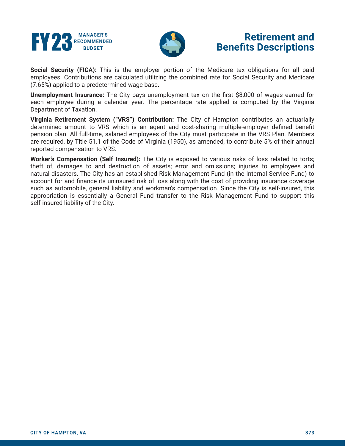



### **Retirement and Benefits Descriptions**

**Social Security (FICA):** This is the employer portion of the Medicare tax obligations for all paid employees. Contributions are calculated utilizing the combined rate for Social Security and Medicare (7.65%) applied to a predetermined wage base.

**Unemployment Insurance:** The City pays unemployment tax on the first \$8,000 of wages earned for each employee during a calendar year. The percentage rate applied is computed by the Virginia Department of Taxation.

**Virginia Retirement System ("VRS") Contribution:** The City of Hampton contributes an actuarially determined amount to VRS which is an agent and cost-sharing multiple-employer defined benefit pension plan. All full-time, salaried employees of the City must participate in the VRS Plan. Members are required, by Title 51.1 of the Code of Virginia (1950), as amended, to contribute 5% of their annual reported compensation to VRS.

**Worker's Compensation (Self Insured):** The City is exposed to various risks of loss related to torts; theft of, damages to and destruction of assets; error and omissions; injuries to employees and natural disasters. The City has an established Risk Management Fund (in the Internal Service Fund) to account for and finance its uninsured risk of loss along with the cost of providing insurance coverage such as automobile, general liability and workman's compensation. Since the City is self-insured, this appropriation is essentially a General Fund transfer to the Risk Management Fund to support this self-insured liability of the City.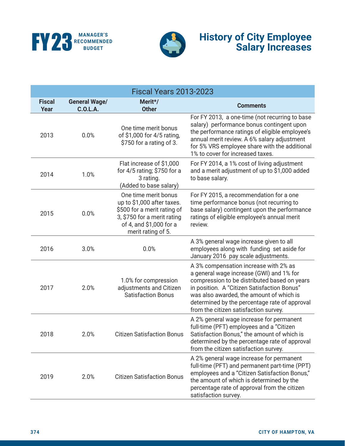



# **History of City Employee Salary Increases**

| <b>Fiscal Years 2013-2023</b> |                                         |                                                                                                                                                                    |                                                                                                                                                                                                                                                                                                                        |  |
|-------------------------------|-----------------------------------------|--------------------------------------------------------------------------------------------------------------------------------------------------------------------|------------------------------------------------------------------------------------------------------------------------------------------------------------------------------------------------------------------------------------------------------------------------------------------------------------------------|--|
| <b>Fiscal</b><br>Year         | <b>General Wage/</b><br><b>C.O.L.A.</b> | Merit*/<br><b>Other</b>                                                                                                                                            | <b>Comments</b>                                                                                                                                                                                                                                                                                                        |  |
| 2013                          | 0.0%                                    | One time merit bonus<br>of \$1,000 for 4/5 rating,<br>\$750 for a rating of 3.                                                                                     | For FY 2013, a one-time (not recurring to base<br>salary) performance bonus contingent upon<br>the performance ratings of eligible employee's<br>annual merit review. A 6% salary adjustment<br>for 5% VRS employee share with the additional<br>1% to cover for increased taxes.                                      |  |
| 2014                          | 1.0%                                    | Flat increase of \$1,000<br>for $4/5$ rating; \$750 for a<br>3 rating.<br>(Added to base salary)                                                                   | For FY 2014, a 1% cost of living adjustment<br>and a merit adjustment of up to \$1,000 added<br>to base salary.                                                                                                                                                                                                        |  |
| 2015                          | 0.0%                                    | One time merit bonus<br>up to $$1,000$ after taxes.<br>\$500 for a merit rating of<br>3, \$750 for a merit rating<br>of 4, and \$1,000 for a<br>merit rating of 5. | For FY 2015, a recommendation for a one<br>time performance bonus (not recurring to<br>base salary) contingent upon the performance<br>ratings of eligible employee's annual merit<br>review.                                                                                                                          |  |
| 2016                          | 3.0%                                    | 0.0%                                                                                                                                                               | A 3% general wage increase given to all<br>employees along with funding set aside for<br>January 2016 pay scale adjustments.                                                                                                                                                                                           |  |
| 2017                          | 2.0%                                    | 1.0% for compression<br>adjustments and Citizen<br><b>Satisfaction Bonus</b>                                                                                       | A 3% compensation increase with 2% as<br>a general wage increase (GWI) and 1% for<br>compression to be distributed based on years<br>in position. A "Citizen Satisfaction Bonus"<br>was also awarded, the amount of which is<br>determined by the percentage rate of approval<br>from the citizen satisfaction survey. |  |
| 2018                          | 2.0%                                    | <b>Citizen Satisfaction Bonus</b>                                                                                                                                  | A 2% general wage increase for permanent<br>full-time (PFT) employees and a "Citizen<br>Satisfaction Bonus," the amount of which is<br>determined by the percentage rate of approval<br>from the citizen satisfaction survey.                                                                                          |  |
| 2019                          | 2.0%                                    | <b>Citizen Satisfaction Bonus</b>                                                                                                                                  | A 2% general wage increase for permanent<br>full-time (PFT) and permanent part-time (PPT)<br>employees and a "Citizen Satisfaction Bonus,"<br>the amount of which is determined by the<br>percentage rate of approval from the citizen<br>satisfaction survey.                                                         |  |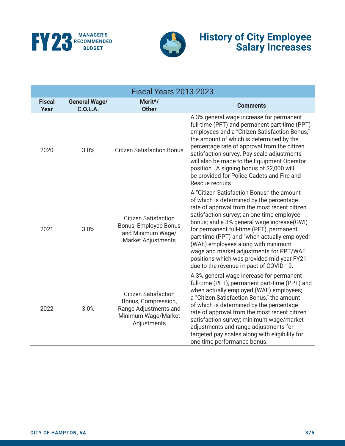



# **History of City Employee Salary Increases**

| <b>Fiscal Years 2013-2023</b> |                                         |                                                                                                                   |                                                                                                                                                                                                                                                                                                                                                                                                                                                                                                         |  |
|-------------------------------|-----------------------------------------|-------------------------------------------------------------------------------------------------------------------|---------------------------------------------------------------------------------------------------------------------------------------------------------------------------------------------------------------------------------------------------------------------------------------------------------------------------------------------------------------------------------------------------------------------------------------------------------------------------------------------------------|--|
| <b>Fiscal</b><br>Year         | <b>General Wage/</b><br><b>C.O.L.A.</b> | Merit*/<br><b>Other</b>                                                                                           | <b>Comments</b>                                                                                                                                                                                                                                                                                                                                                                                                                                                                                         |  |
| 2020                          | 3.0%                                    | <b>Citizen Satisfaction Bonus</b>                                                                                 | A 3% general wage increase for permanent<br>full-time (PFT) and permanent part-time (PPT)<br>employees and a "Citizen Satisfaction Bonus,"<br>the amount of which is determined by the<br>percentage rate of approval from the citizen<br>satisfaction survey. Pay scale adjustments<br>will also be made to the Equipment Operator<br>position. A signing bonus of \$2,000 will<br>be provided for Police Cadets and Fire and<br>Rescue recruits.                                                      |  |
| 2021                          | 3.0%                                    | <b>Citizen Satisfaction</b><br>Bonus, Employee Bonus<br>and Minimum Wage/<br>Market Adjustments                   | A "Citizen Satisfaction Bonus," the amount<br>of which is determined by the percentage<br>rate of approval from the most recent citizen<br>satisfaction survey; an one-time employee<br>bonus; and a 3% general wage increase(GWI)<br>for permanent full-time (PFT), permanent<br>part-time (PPT) and "when actually employed"<br>(WAE) employees along with minimum<br>wage and market adjustments for PPT/WAE<br>positions which was provided mid-year FY21<br>due to the revenue impact of COVID-19. |  |
| 2022                          | 3.0%                                    | <b>Citizen Satisfaction</b><br>Bonus, Compression,<br>Range Adjustments and<br>Minimum Wage/Market<br>Adjustments | A 3% general wage increase for permanent<br>full-time (PFT), permanent part-time (PPT) and<br>when actually employed (WAE) employees;<br>a "Citizen Satisfaction Bonus," the amount<br>of which is determined by the percentage<br>rate of approval from the most recent citizen<br>satisfaction survey; minimum wage/market<br>adjustments and range adjustments for<br>targeted pay scales along with eligibility for<br>one-time performance bonus.                                                  |  |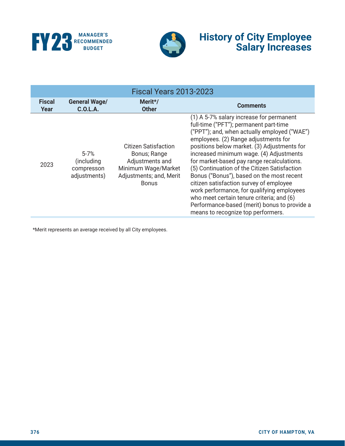



# **History of City Employee Salary Increases**

| <b>Fiscal Years 2013-2023</b> |                                                       |                                                                                                                           |                                                                                                                                                                                                                                                                                                                                                                                                                                                                                                                                                                                                                                             |
|-------------------------------|-------------------------------------------------------|---------------------------------------------------------------------------------------------------------------------------|---------------------------------------------------------------------------------------------------------------------------------------------------------------------------------------------------------------------------------------------------------------------------------------------------------------------------------------------------------------------------------------------------------------------------------------------------------------------------------------------------------------------------------------------------------------------------------------------------------------------------------------------|
| <b>Fiscal</b><br>Year         | <b>General Wage/</b><br>C.0.L.A.                      | Merit*/<br><b>Other</b>                                                                                                   | <b>Comments</b>                                                                                                                                                                                                                                                                                                                                                                                                                                                                                                                                                                                                                             |
| 2023                          | $5 - 7%$<br>(including)<br>compresson<br>adjustments) | Citizen Satisfaction<br>Bonus; Range<br>Adjustments and<br>Minimum Wage/Market<br>Adjustments; and, Merit<br><b>Bonus</b> | (1) A 5-7% salary increase for permanent<br>full-time ("PFT"); permanent part-time<br>("PPT"); and, when actually employed ("WAE")<br>employees. (2) Range adjustments for<br>positions below market. (3) Adjustments for<br>increased minimum wage. (4) Adjustments<br>for market-based pay range recalculations.<br>(5) Continuation of the Citizen Satisfaction<br>Bonus ("Bonus"), based on the most recent<br>citizen satisfaction survey of employee<br>work performance, for qualifying employees<br>who meet certain tenure criteria; and (6)<br>Performance-based (merit) bonus to provide a<br>means to recognize top performers. |

\*Merit represents an average received by all City employees.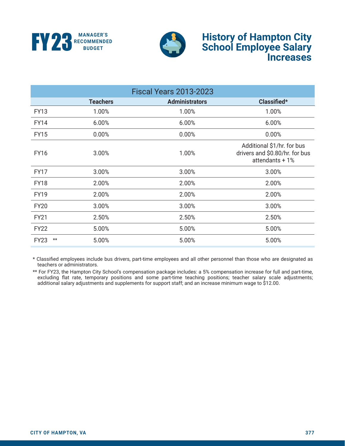



### **History of Hampton City School Employee Salary Increases**

| <b>Fiscal Years 2013-2023</b> |                       |                       |                                                                                 |  |
|-------------------------------|-----------------------|-----------------------|---------------------------------------------------------------------------------|--|
|                               | <b>Teachers</b>       | <b>Administrators</b> | Classified*                                                                     |  |
| <b>FY13</b>                   | 1.00%                 | 1.00%                 | 1.00%                                                                           |  |
| <b>FY14</b>                   | 6.00%                 | 6.00%                 | 6.00%                                                                           |  |
| <b>FY15</b>                   | 0.00%                 | 0.00%                 | 0.00%                                                                           |  |
| <b>FY16</b>                   | 3.00%                 | 1.00%                 | Additional \$1/hr. for bus<br>drivers and \$0.80/hr. for bus<br>attendants + 1% |  |
| <b>FY17</b>                   | 3.00%                 | 3.00%                 | 3.00%                                                                           |  |
| <b>FY18</b>                   | 2.00%                 | 2.00%                 | 2.00%                                                                           |  |
| <b>FY19</b>                   | 2.00%                 | 2.00%                 | 2.00%                                                                           |  |
| <b>FY20</b>                   | 3.00%                 | 3.00%                 | 3.00%                                                                           |  |
| <b>FY21</b>                   | 2.50%                 | 2.50%                 | 2.50%                                                                           |  |
| <b>FY22</b>                   | 5.00%                 | 5.00%                 | 5.00%                                                                           |  |
| <b>FY23</b>                   | 5.00%<br>$\star\star$ | 5.00%                 | 5.00%                                                                           |  |

\* Classified employees include bus drivers, part-time employees and all other personnel than those who are designated as teachers or administrators.

\*\* For FY23, the Hampton City School's compensation package includes: a 5% compensation increase for full and part-time, excluding flat rate, temporary positions and some part-time teaching positions; teacher salary scale adjustments; additional salary adjustments and supplements for support staff; and an increase minimum wage to \$12.00.